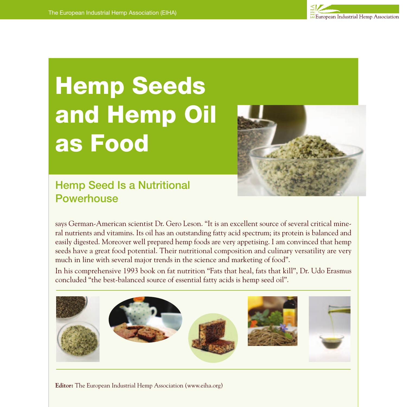

# **Hemp Seeds and Hemp Oil as Food**



## Hemp Seed Is a Nutritional **Powerhouse**

says German-American scientist Dr. Gero Leson. "It is an excellent source of several critical mineral nutrients and vitamins. Its oil has an outstanding fatty acid spectrum; its protein is balanced and easily digested. Moreover well prepared hemp foods are very appetising. I am convinced that hemp seeds have a great food potential. Their nutritional composition and culinary versatility are very much in line with several major trends in the science and marketing of food".

In his comprehensive 1993 book on fat nutrition "Fats that heal, fats that kill", Dr. Udo Erasmus concluded "the best-balanced source of essential fatty acids is hemp seed oil".



**Editor:** The European Industrial Hemp Association (www.eiha.org)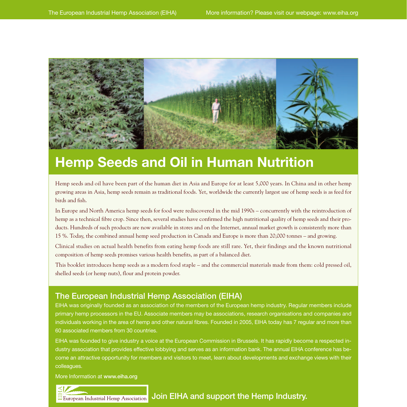

# **Hemp Seeds and Oil in Human Nutrition**

Hemp seeds and oil have been part of the human diet in Asia and Europe for at least 5,000 years. In China and in other hemp growing areas in Asia, hemp seeds remain as traditional foods. Yet, worldwide the currently largest use of hemp seeds is as feed for birds and fish.

In Europe and North America hemp seeds for food were rediscovered in the mid 1990s – concurrently with the reintroduction of hemp as a technical fibre crop. Since then, several studies have confirmed the high nutritional quality of hemp seeds and their products. Hundreds of such products are now available in stores and on the Internet, annual market growth is consistently more than 15 %. Today, the combined annual hemp seed production in Canada and Europe is more than 20,000 tonnes – and growing.

Clinical studies on actual health benefits from eating hemp foods are still rare. Yet, their findings and the known nutritional composition of hemp seeds promises various health benefits, as part of a balanced diet.

This booklet introduces hemp seeds as a modern food staple – and the commercial materials made from them: cold pressed oil, shelled seeds (or hemp nuts), flour and protein powder.

#### The European Industrial Hemp Association (EIHA)

EIHA was originally founded as an association of the members of the European hemp industry. Regular members include primary hemp processors in the EU. Associate members may be associations, research organisations and companies and individuals working in the area of hemp and other natural fibres. Founded in 2005, EIHA today has 7 regular and more than 60 associated members from 30 countries.

EIHA was founded to give industry a voice at the European Commission in Brussels. It has rapidly become a respected industry association that provides effective lobbying and serves as an information bank. The annual EIHA conference has become an attractive opportunity for members and visitors to meet, learn about developments and exchange views with their colleagues.

More Information at www.eiha.org

#### Join EIHA and support the Hemp Industry. $\overline{\mathbf{u}}$  European Industrial Hemp Association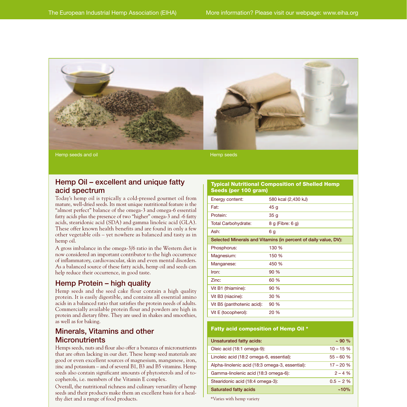

#### Hemp Oil – excellent and unique fatty acid spectrum

Today's hemp oil is typically a cold-pressed gourmet oil from mature, well-dried seeds. Its most unique nutritional feature is the "almost perfect" balance of the omega-3 and omega-6 essential fatty acids plus the presence of two "higher" omega-3 and -6 fatty acids, stearidonic acid (SDA) and gamma linoleic acid (GLA). These offer known health benefits and are found in only a few other vegetable oils – yet nowhere as balanced and tasty as in hemp oil.

A gross imbalance in the omega-3/6 ratio in the Western diet is now considered an important contributor to the high occurrence of inflammatory, cardiovascular, skin and even mental disorders. As a balanced source of these fatty acids, hemp oil and seeds can help reduce their occurrence, in good taste.

#### Hemp Protein – high quality

Hemp seeds and the seed cake flour contain a high quality protein. It is easily digestible, and contains all essential amino acids in a balanced ratio that satisfies the protein needs of adults. Commercially available protein flour and powders are high in protein and dietary fibre. They are used in shakes and smoothies, as well as for baking.

#### Minerals, Vitamins and other **Micronutrients**

Hemps seeds, nuts and flour also offer a bonanza of micronutrients that are often lacking in our diet. These hemp seed materials are good or even excellent sources of magnesium, manganese, iron, zinc and potassium – and of several B1, B3 and B5 vitamins. Hemp seeds also contain significant amounts of phytosterols and of tocopherols, i.e. members of the Vitamin E complex.

Overall, the nutritional richness and culinary versatility of hemp seeds and their products make them an excellent basis for a healthy diet and a range of food products.

| Seeds (per 100 gram)                                            |                     |  |
|-----------------------------------------------------------------|---------------------|--|
| Energy content:                                                 | 580 kcal (2,430 kJ) |  |
| Fat:                                                            | 45 g                |  |
| Protein:                                                        | 35q                 |  |
| <b>Total Carbohydrate:</b>                                      | 8 g (Fibre: 6 g)    |  |
| Ash:                                                            | 6g                  |  |
| Selected Minerals and Vitamins (in percent of daily value, DV): |                     |  |
| Phosphorus:                                                     | 130 %               |  |
| Magnesium:                                                      | 150 %               |  |
| Manganese:                                                      | 450 %               |  |
| Iron <sup>-</sup>                                               | 90 %                |  |
| Zinc:                                                           | 60 %                |  |
| Vit B1 (thiamine):                                              | 90 %                |  |
| Vit B3 (niacine):                                               | 30 %                |  |
| Vit B5 (panthotenic acid):                                      | 90 %                |  |
| Vit E (tocopherol):                                             | 20 %                |  |
|                                                                 |                     |  |

**Typical Nutritional Composition of Shelled Hemp**

#### **Fatty acid composition of Hemp Oil \***

| Unsaturated fatty acids:                        | $~100\%$   |
|-------------------------------------------------|------------|
| Oleic acid (18:1 omega-9):                      | $10 - 15%$ |
| Linoleic acid (18:2 omega-6, essential):        | $55 - 60%$ |
| Alpha-linolenic acid (18:3 omega-3, essential): | $17 - 20%$ |
| Gamma-linolenic acid (18:3 omega-6):            | $2 - 4 %$  |
| Stearidonic acid (18:4 omega-3):                | $0.5 - 2%$ |
| <b>Saturated fatty acids</b>                    | $~10\%$    |

\*Varies with hemp variety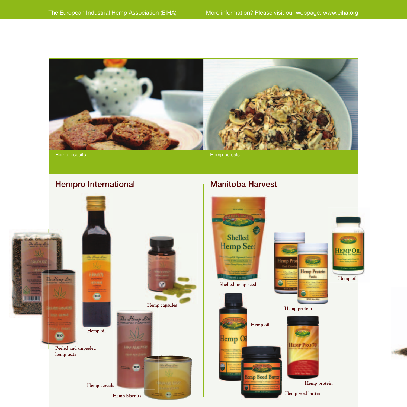

### Hempro International Manitoba Harvest





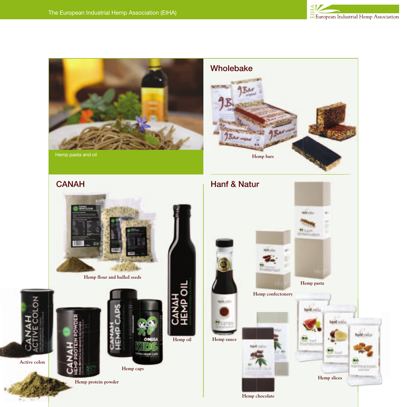